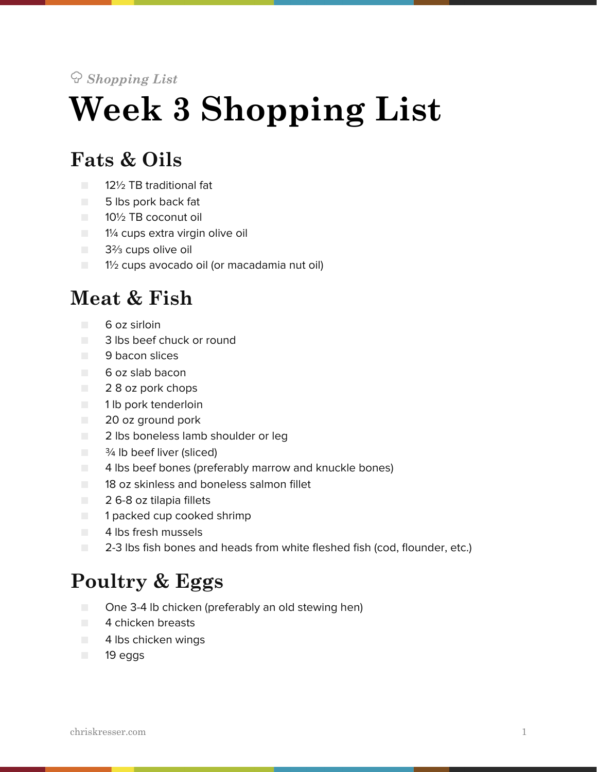#### *Shopping List*

# **Week 3 Shopping List**

#### **Fats & Oils**

- 12½ TB traditional fat
- 5 lbs pork back fat
- 10½ TB coconut oil
- 1¼ cups extra virgin olive oil
- 3<sup>2</sup>/<sub>3</sub> cups olive oil
- $\Box$  1½ cups avocado oil (or macadamia nut oil)

#### **Meat & Fish**

- 6 oz sirloin
- 3 lbs beef chuck or round
- 9 bacon slices
- 6 oz slab bacon
- 2 8 oz pork chops
- 1 lb pork tenderloin
- 20 oz ground pork
- 2 lbs boneless lamb shoulder or leg
- $\blacksquare$   $\frac{3}{4}$  lb beef liver (sliced)
- 4 lbs beef bones (preferably marrow and knuckle bones)
- 18 oz skinless and boneless salmon fillet
- 2 6-8 oz tilapia fillets
- 1 packed cup cooked shrimp
- 4 lbs fresh mussels
- 2-3 lbs fish bones and heads from white fleshed fish (cod, flounder, etc.)

#### **Poultry & Eggs**

- One 3-4 lb chicken (preferably an old stewing hen)
- 4 chicken breasts
- 4 lbs chicken wings
- 19 eggs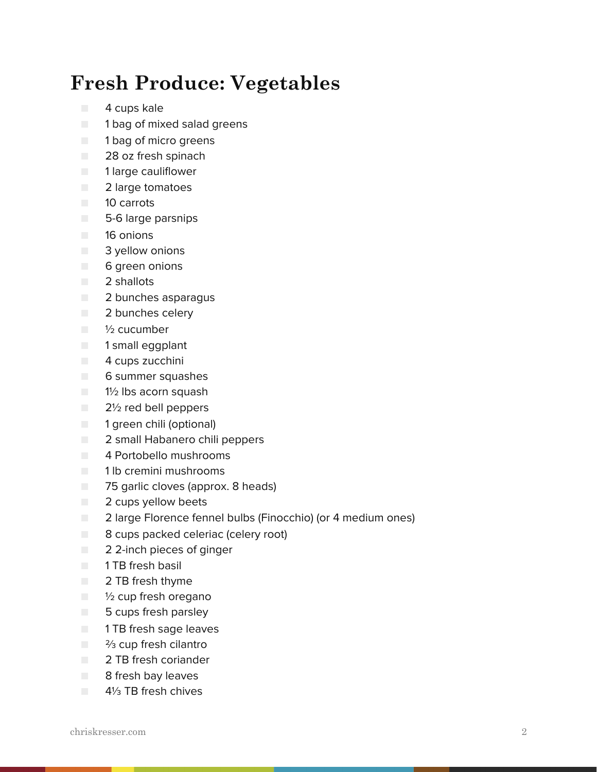### **Fresh Produce: Vegetables**

- 4 cups kale
- 1 bag of mixed salad greens
- 1 bag of micro greens
- 28 oz fresh spinach
- 1 large cauliflower
- 2 large tomatoes
- 10 carrots
- 5-6 large parsnips
- 16 onions
- 3 yellow onions
- 6 green onions
- 2 shallots
- 2 bunches asparagus
- **2 bunches celery**
- <sup>1</sup>/<sub>2</sub> cucumber
- 1 small eqgplant
- **4** cups zucchini
- 6 summer squashes
- 1½ lbs acorn squash
- 2½ red bell peppers
- 1 green chili (optional)
- 2 small Habanero chili peppers
- 4 Portobello mushrooms
- 1 lb cremini mushrooms
- 75 garlic cloves (approx. 8 heads)
- 2 cups yellow beets
- 2 large Florence fennel bulbs (Finocchio) (or 4 medium ones)
- 8 cups packed celeriac (celery root)
- 2 2-inch pieces of ginger
- 1 TB fresh basil
- 2 TB fresh thyme
- 1/2 cup fresh oregano
- 5 cups fresh parsley
- **THE fresh sage leaves**
- <sup>2</sup>/<sub>3</sub> cup fresh cilantro
- 2 TB fresh coriander
- 8 fresh bay leaves
- 41<sup>/3</sup> TB fresh chives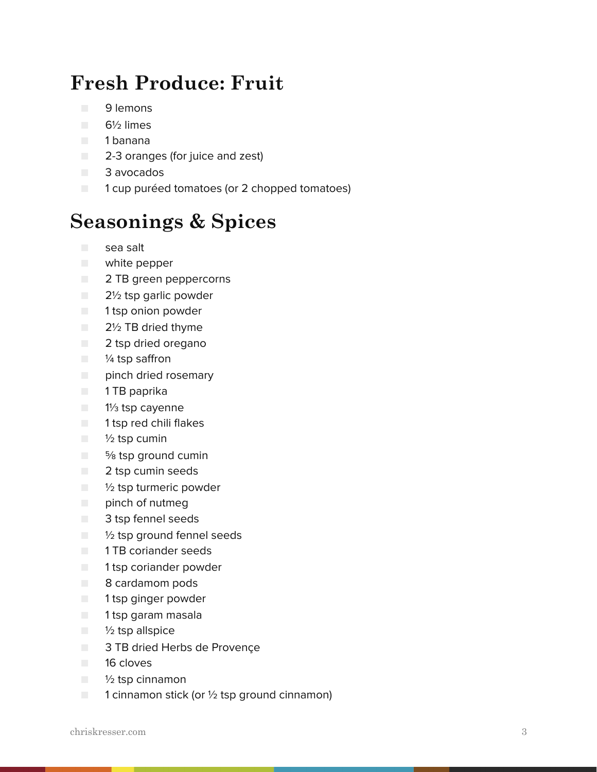## **Fresh Produce: Fruit**

- 9 lemons
- 6½ limes
- 1 banana
- 2-3 oranges (for juice and zest)
- 3 avocados
- 1 cup puréed tomatoes (or 2 chopped tomatoes)

#### **Seasonings & Spices**

- sea salt
- white pepper
- 2 TB green peppercorns
- 2½ tsp garlic powder
- 1 tsp onion powder
- **2**<sup>1</sup>/<sub>2</sub> TB dried thyme
- 2 tsp dried oregano
- <sup>1/4</sup> tsp saffron
- pinch dried rosemary
- 1 TB paprika
- 1<sup>1/3</sup> tsp cayenne
- 1 tsp red chili flakes
- ½ tsp cumin
- <sup>5</sup>% tsp ground cumin
- 2 tsp cumin seeds
- $\blacksquare$   $\frac{1}{2}$  tsp turmeric powder
- pinch of nutmeg
- 3 tsp fennel seeds
- ½ tsp ground fennel seeds
- 1 TB coriander seeds
- 1 tsp coriander powder
- 8 cardamom pods
- 1 tsp ginger powder
- 1 tsp garam masala
- $\blacksquare$   $\frac{1}{2}$  tsp allspice
- 3 TB dried Herbs de Provençe
- 16 cloves
- ½ tsp cinnamon
- $\blacksquare$  1 cinnamon stick (or  $\frac{1}{2}$  tsp ground cinnamon)